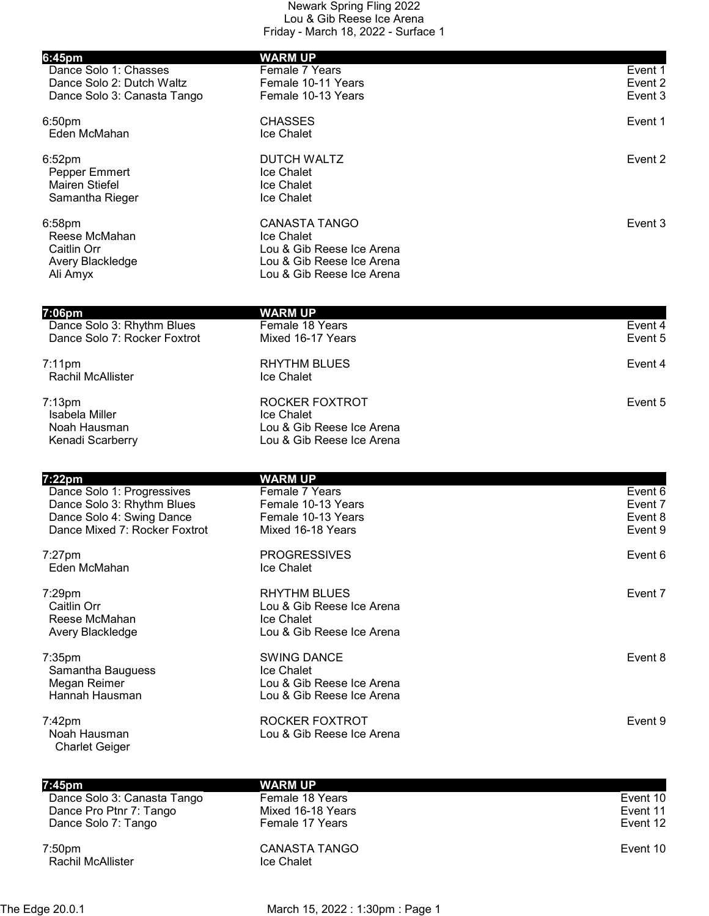| 6:45pm                                | <b>WARM UP</b>                                         |          |
|---------------------------------------|--------------------------------------------------------|----------|
| Dance Solo 1: Chasses                 | Female 7 Years                                         | Event 1  |
| Dance Solo 2: Dutch Waltz             | Female 10-11 Years                                     | Event 2  |
| Dance Solo 3: Canasta Tango           | Female 10-13 Years                                     | Event 3  |
| 6:50 <sub>pm</sub>                    | <b>CHASSES</b>                                         | Event 1  |
| Eden McMahan                          | Ice Chalet                                             |          |
| 6:52 <sub>pm</sub>                    | <b>DUTCH WALTZ</b>                                     | Event 2  |
| Pepper Emmert                         | Ice Chalet                                             |          |
| <b>Mairen Stiefel</b>                 | Ice Chalet                                             |          |
| Samantha Rieger                       | <b>Ice Chalet</b>                                      |          |
| 6:58pm                                | <b>CANASTA TANGO</b>                                   | Event 3  |
| Reese McMahan<br>Caitlin Orr          | Ice Chalet<br>Lou & Gib Reese Ice Arena                |          |
| Avery Blackledge                      | Lou & Gib Reese Ice Arena                              |          |
| Ali Amyx                              | Lou & Gib Reese Ice Arena                              |          |
|                                       |                                                        |          |
| 7:06pm<br>Dance Solo 3: Rhythm Blues  | <b>WARM UP</b><br>Female 18 Years                      | Event 4  |
| Dance Solo 7: Rocker Foxtrot          | Mixed 16-17 Years                                      | Event 5  |
| $7:11$ pm                             | <b>RHYTHM BLUES</b>                                    | Event 4  |
| Rachil McAllister                     | Ice Chalet                                             |          |
| $7:13$ pm                             | ROCKER FOXTROT                                         | Event 5  |
| Isabela Miller                        | Ice Chalet                                             |          |
| Noah Hausman                          | Lou & Gib Reese Ice Arena                              |          |
| Kenadi Scarberry                      | Lou & Gib Reese Ice Arena                              |          |
| 7:22pm                                | <b>WARM UP</b>                                         |          |
| Dance Solo 1: Progressives            | Female 7 Years                                         | Event 6  |
| Dance Solo 3: Rhythm Blues            | Female 10-13 Years                                     | Event 7  |
| Dance Solo 4: Swing Dance             | Female 10-13 Years                                     | Event 8  |
| Dance Mixed 7: Rocker Foxtrot         | Mixed 16-18 Years                                      | Event 9  |
| $7:27$ pm                             | <b>PROGRESSIVES</b>                                    | Event 6  |
| Eden McMahan                          | Ice Chalet                                             |          |
| 7:29pm                                | <b>RHYTHM BLUES</b>                                    | Event 7  |
| Caitlin Orr                           | Lou & Gib Reese Ice Arena                              |          |
| Reese McMahan                         | Ice Chalet                                             |          |
| Avery Blackledge                      | Lou & Gib Reese Ice Arena                              |          |
| 7:35pm                                | <b>SWING DANCE</b>                                     | Event 8  |
| Samantha Bauguess                     | Ice Chalet                                             |          |
| Megan Reimer<br>Hannah Hausman        | Lou & Gib Reese Ice Arena<br>Lou & Gib Reese Ice Arena |          |
| 7:42pm                                | ROCKER FOXTROT                                         | Event 9  |
| Noah Hausman                          | Lou & Gib Reese Ice Arena                              |          |
| <b>Charlet Geiger</b>                 |                                                        |          |
|                                       |                                                        |          |
| 7:45pm<br>Dance Solo 3: Canasta Tango | <b>WARM UP</b><br>Female 18 Years                      | Event 10 |
| Dance Pro Ptnr 7: Tango               | Mixed 16-18 Years                                      | Event 11 |

Dance Solo 7: Tango Female 17 Years Event 12

7:50pm CANASTA TANGO Event 10 Rachil McAllister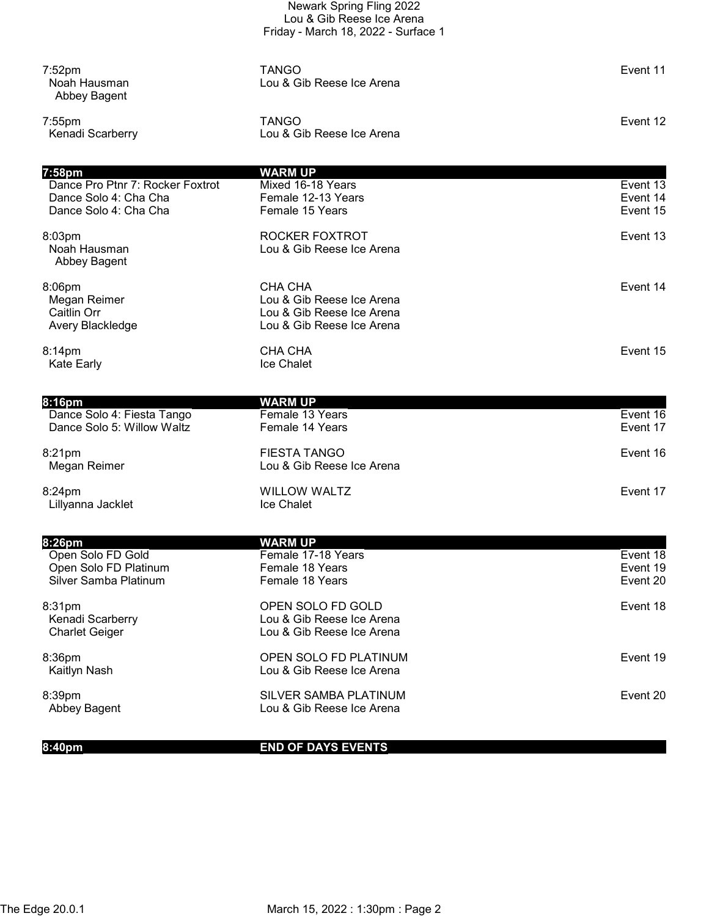|                                                                                      | Newark Spring Fling 2022<br>Lou & Gib Reese Ice Arena<br>Friday - March 18, 2022 - Surface 1   |                                  |
|--------------------------------------------------------------------------------------|------------------------------------------------------------------------------------------------|----------------------------------|
| $7:52$ pm<br>Noah Hausman<br>Abbey Bagent                                            | <b>TANGO</b><br>Lou & Gib Reese Ice Arena                                                      | Event 11                         |
| $7:55$ pm<br>Kenadi Scarberry                                                        | <b>TANGO</b><br>Lou & Gib Reese Ice Arena                                                      | Event 12                         |
| 7:58pm                                                                               | <b>WARM UP</b>                                                                                 |                                  |
| Dance Pro Ptnr 7: Rocker Foxtrot<br>Dance Solo 4: Cha Cha<br>Dance Solo 4: Cha Cha   | Mixed 16-18 Years<br>Female 12-13 Years<br>Female 15 Years                                     | Event 13<br>Event 14<br>Event 15 |
| 8:03pm<br>Noah Hausman<br>Abbey Bagent                                               | ROCKER FOXTROT<br>Lou & Gib Reese Ice Arena                                                    | Event 13                         |
| 8:06pm<br>Megan Reimer<br>Caitlin Orr<br>Avery Blackledge                            | CHA CHA<br>Lou & Gib Reese Ice Arena<br>Lou & Gib Reese Ice Arena<br>Lou & Gib Reese Ice Arena | Event 14                         |
| 8:14pm<br><b>Kate Early</b>                                                          | CHA CHA<br>Ice Chalet                                                                          | Event 15                         |
|                                                                                      |                                                                                                |                                  |
| 8:16pm<br>Dance Solo 4: Fiesta Tango<br>Dance Solo 5: Willow Waltz                   | <b>WARM UP</b><br>Female 13 Years<br>Female 14 Years                                           | Event 16<br>Event 17             |
| 8:21pm<br>Megan Reimer                                                               | <b>FIESTA TANGO</b><br>Lou & Gib Reese Ice Arena                                               | Event 16                         |
| 8:24pm<br>Lillyanna Jacklet                                                          | <b>WILLOW WALTZ</b><br>Ice Chalet                                                              | Event 17                         |
|                                                                                      |                                                                                                |                                  |
| 8:26pm<br>Open Solo FD Gold<br>Open Solo FD Platinum<br><b>Silver Samba Platinum</b> | <b>WARM UP</b><br>Female 17-18 Years<br>Female 18 Years<br>Female 18 Years                     | Event 18<br>Event 19<br>Event 20 |
| 8:31pm<br>Kenadi Scarberry<br><b>Charlet Geiger</b>                                  | OPEN SOLO FD GOLD<br>Lou & Gib Reese Ice Arena<br>Lou & Gib Reese Ice Arena                    | Event 18                         |
|                                                                                      |                                                                                                |                                  |
| 8:36pm<br>Kaitlyn Nash                                                               | OPEN SOLO FD PLATINUM<br>Lou & Gib Reese Ice Arena                                             | Event 19                         |
| 8:39pm<br>Abbey Bagent                                                               | SILVER SAMBA PLATINUM<br>Lou & Gib Reese Ice Arena                                             | Event 20                         |

8:40pm **END OF DAYS EVENTS**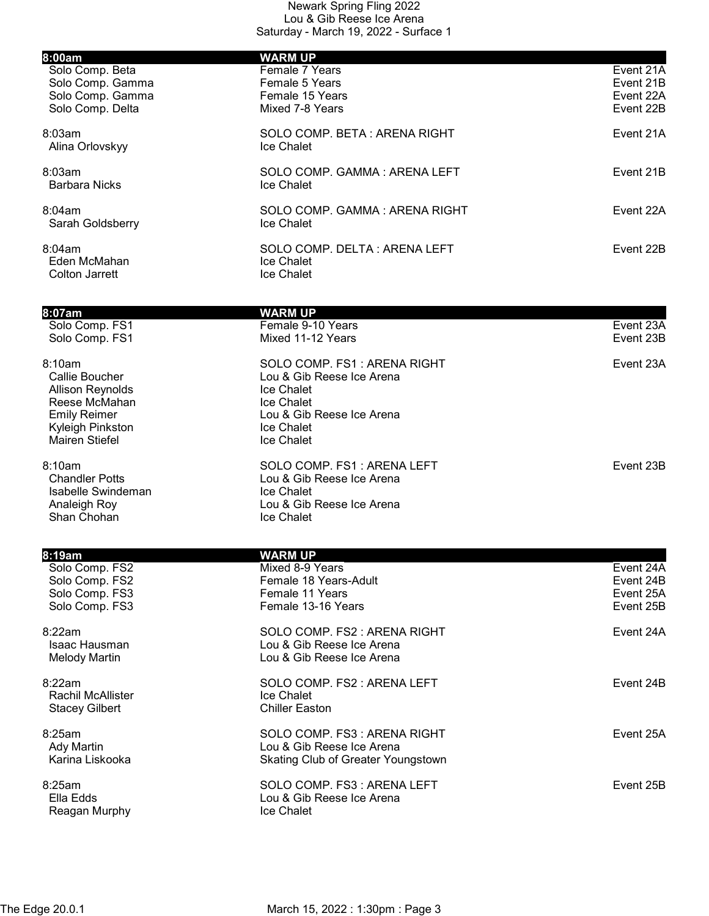| 8:00am                                    | <b>WARM UP</b>                                          |           |
|-------------------------------------------|---------------------------------------------------------|-----------|
| Solo Comp. Beta                           | Female 7 Years                                          | Event 21A |
| Solo Comp. Gamma                          | Female 5 Years                                          | Event 21B |
| Solo Comp. Gamma                          | Female 15 Years                                         | Event 22A |
| Solo Comp. Delta                          | Mixed 7-8 Years                                         | Event 22B |
| 8:03am                                    | SOLO COMP. BETA: ARENA RIGHT                            | Event 21A |
| Alina Orlovskyy                           | Ice Chalet                                              |           |
| 8:03am                                    | SOLO COMP. GAMMA: ARENA LEFT                            | Event 21B |
| <b>Barbara Nicks</b>                      | Ice Chalet                                              |           |
| 8:04am                                    | SOLO COMP. GAMMA: ARENA RIGHT                           | Event 22A |
| Sarah Goldsberry                          | <b>Ice Chalet</b>                                       |           |
|                                           |                                                         |           |
| 8:04am<br>Eden McMahan                    | SOLO COMP. DELTA: ARENA LEFT<br>Ice Chalet              | Event 22B |
| <b>Colton Jarrett</b>                     | Ice Chalet                                              |           |
|                                           |                                                         |           |
| 8:07am                                    | <b>WARM UP</b>                                          |           |
| Solo Comp. FS1                            | Female 9-10 Years                                       | Event 23A |
| Solo Comp. FS1                            | Mixed 11-12 Years                                       | Event 23B |
| 8:10am                                    | SOLO COMP. FS1: ARENA RIGHT                             | Event 23A |
| Callie Boucher                            | Lou & Gib Reese Ice Arena                               |           |
| <b>Allison Reynolds</b>                   | Ice Chalet                                              |           |
| Reese McMahan                             | Ice Chalet                                              |           |
| <b>Emily Reimer</b>                       | Lou & Gib Reese Ice Arena<br>Ice Chalet                 |           |
| Kyleigh Pinkston<br><b>Mairen Stiefel</b> | Ice Chalet                                              |           |
|                                           |                                                         |           |
| 8:10am<br><b>Chandler Potts</b>           | SOLO COMP. FS1: ARENA LEFT<br>Lou & Gib Reese Ice Arena | Event 23B |
| Isabelle Swindeman                        | Ice Chalet                                              |           |
| Analeigh Roy                              | Lou & Gib Reese Ice Arena                               |           |
| Shan Chohan                               | Ice Chalet                                              |           |
|                                           |                                                         |           |
| 8:19am<br>Solo Comp. FS2                  | <b>WARM UP</b><br>Mixed 8-9 Years                       | Event 24A |
| Solo Comp. FS2                            | Female 18 Years-Adult                                   | Event 24B |
| Solo Comp. FS3                            | Female 11 Years                                         | Event 25A |
| Solo Comp. FS3                            | Female 13-16 Years                                      | Event 25B |
| 8:22am                                    | SOLO COMP. FS2 : ARENA RIGHT                            | Event 24A |
| Isaac Hausman                             | Lou & Gib Reese Ice Arena                               |           |
| <b>Melody Martin</b>                      | Lou & Gib Reese Ice Arena                               |           |
| 8:22am                                    | SOLO COMP. FS2: ARENA LEFT                              | Event 24B |
| <b>Rachil McAllister</b>                  | Ice Chalet                                              |           |
| <b>Stacey Gilbert</b>                     | <b>Chiller Easton</b>                                   |           |
| 8:25am                                    | SOLO COMP. FS3: ARENA RIGHT                             | Event 25A |
| <b>Ady Martin</b>                         | Lou & Gib Reese Ice Arena                               |           |
| Karina Liskooka                           | <b>Skating Club of Greater Youngstown</b>               |           |
| 8:25am                                    | SOLO COMP. FS3: ARENA LEFT                              | Event 25B |
| Ella Edds                                 | Lou & Gib Reese Ice Arena                               |           |
| Reagan Murphy                             | Ice Chalet                                              |           |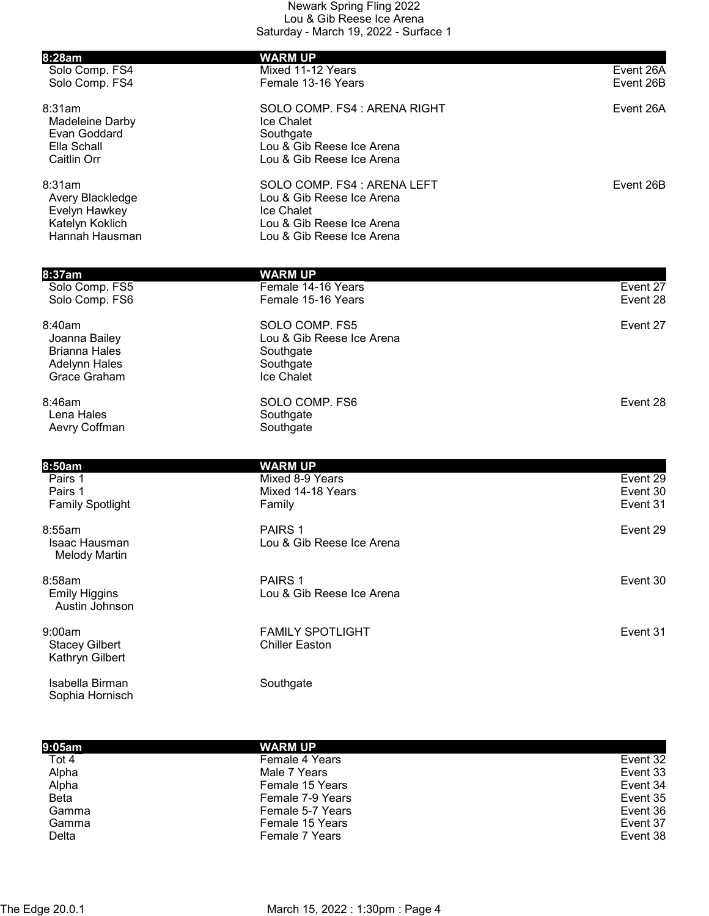| 8:28am                                                                                  | <b>WARM UP</b>                                                                                                                   |                                  |
|-----------------------------------------------------------------------------------------|----------------------------------------------------------------------------------------------------------------------------------|----------------------------------|
| Solo Comp. FS4<br>Solo Comp. FS4                                                        | Mixed 11-12 Years<br>Female 13-16 Years                                                                                          | Event 26A<br>Event 26B           |
| 8:31am<br>Madeleine Darby<br>Evan Goddard<br>Ella Schall<br>Caitlin Orr                 | SOLO COMP. FS4 : ARENA RIGHT<br>Ice Chalet<br>Southgate<br>Lou & Gib Reese Ice Arena<br>Lou & Gib Reese Ice Arena                | Event 26A                        |
| 8:31am<br>Avery Blackledge<br>Evelyn Hawkey<br>Katelyn Koklich<br>Hannah Hausman        | SOLO COMP. FS4 : ARENA LEFT<br>Lou & Gib Reese Ice Arena<br>Ice Chalet<br>Lou & Gib Reese Ice Arena<br>Lou & Gib Reese Ice Arena | Event 26B                        |
| 8:37am                                                                                  | <b>WARM UP</b>                                                                                                                   |                                  |
| Solo Comp. FS5<br>Solo Comp. FS6                                                        | Female 14-16 Years<br>Female 15-16 Years                                                                                         | Event 27<br>Event 28             |
| 8:40am<br>Joanna Bailey<br><b>Brianna Hales</b><br><b>Adelynn Hales</b><br>Grace Graham | SOLO COMP. FS5<br>Lou & Gib Reese Ice Arena<br>Southgate<br>Southgate<br>Ice Chalet                                              | Event 27                         |
| 8:46am<br>Lena Hales<br>Aevry Coffman                                                   | SOLO COMP. FS6<br>Southgate<br>Southgate                                                                                         | Event 28                         |
| 8:50am                                                                                  | <b>WARM UP</b>                                                                                                                   |                                  |
| Pairs 1<br>Pairs 1<br><b>Family Spotlight</b>                                           | Mixed 8-9 Years<br>Mixed 14-18 Years<br>Family                                                                                   | Event 29<br>Event 30<br>Event 31 |
| 8:55am<br><b>Isaac Hausman</b><br><b>Melody Martin</b>                                  | PAIRS <sub>1</sub><br>Lou & Gib Reese Ice Arena                                                                                  | Event 29                         |
| 8:58am<br><b>Emily Higgins</b><br>Austin Johnson                                        | PAIRS <sub>1</sub><br>Lou & Gib Reese Ice Arena                                                                                  | Event 30                         |
| 9:00am<br><b>Stacey Gilbert</b><br>Kathryn Gilbert                                      | <b>FAMILY SPOTLIGHT</b><br><b>Chiller Easton</b>                                                                                 | Event 31                         |

Isabella Birman Southgate Sophia Hornisch

| 9:05am      | <b>WARM UP</b>   |          |
|-------------|------------------|----------|
| Tot 4       | Female 4 Years   | Event 32 |
| Alpha       | Male 7 Years     | Event 33 |
| Alpha       | Female 15 Years  | Event 34 |
| <b>Beta</b> | Female 7-9 Years | Event 35 |
| Gamma       | Female 5-7 Years | Event 36 |
| Gamma       | Female 15 Years  | Event 37 |
| Delta       | Female 7 Years   | Event 38 |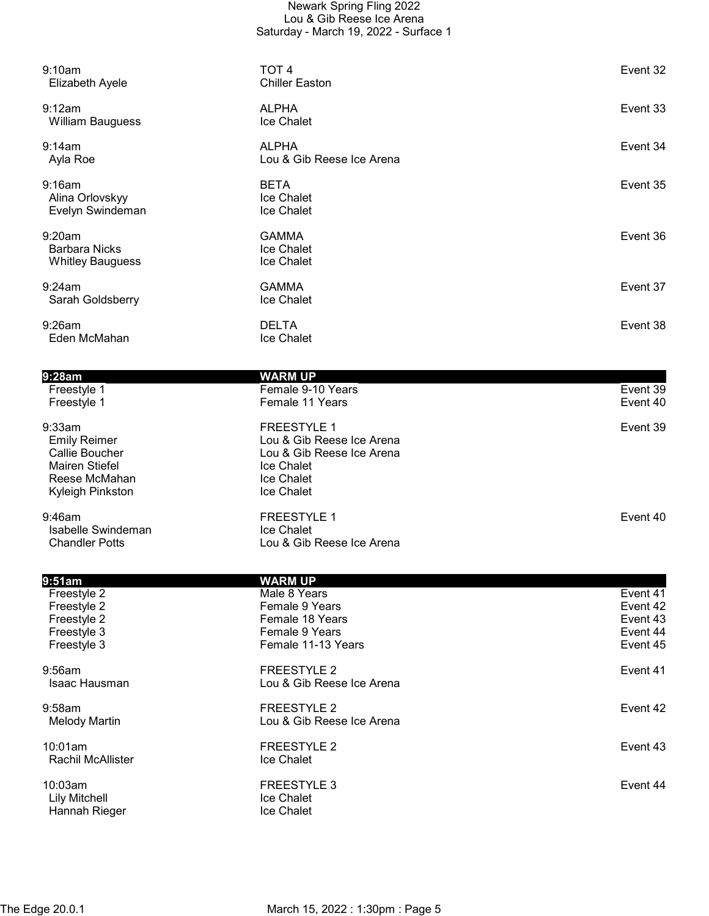| 9:10am<br><b>Elizabeth Ayele</b>                                                                              | TOT <sub>4</sub><br><b>Chiller Easton</b>                                                                                     | Event 32             |
|---------------------------------------------------------------------------------------------------------------|-------------------------------------------------------------------------------------------------------------------------------|----------------------|
| 9:12am<br><b>William Bauguess</b>                                                                             | <b>ALPHA</b><br>Ice Chalet                                                                                                    | Event 33             |
| 9:14am<br>Ayla Roe                                                                                            | <b>ALPHA</b><br>Lou & Gib Reese Ice Arena                                                                                     | Event 34             |
| 9:16am<br>Alina Orlovskyy<br>Evelyn Swindeman                                                                 | <b>BETA</b><br>Ice Chalet<br>Ice Chalet                                                                                       | Event 35             |
| 9:20am<br><b>Barbara Nicks</b><br><b>Whitley Bauguess</b>                                                     | <b>GAMMA</b><br>Ice Chalet<br>Ice Chalet                                                                                      | Event 36             |
| 9:24am<br>Sarah Goldsberry                                                                                    | <b>GAMMA</b><br>Ice Chalet                                                                                                    | Event 37             |
| 9:26am<br>Eden McMahan                                                                                        | <b>DELTA</b><br>Ice Chalet                                                                                                    | Event 38             |
|                                                                                                               |                                                                                                                               |                      |
| 9:28am                                                                                                        | <b>WARM UP</b>                                                                                                                |                      |
| Freestyle 1<br>Freestyle 1                                                                                    | Female 9-10 Years<br>Female 11 Years                                                                                          | Event 39<br>Event 40 |
| 9:33am<br><b>Emily Reimer</b><br>Callie Boucher<br><b>Mairen Stiefel</b><br>Reese McMahan<br>Kyleigh Pinkston | <b>FREESTYLE 1</b><br>Lou & Gib Reese Ice Arena<br>Lou & Gib Reese Ice Arena<br>Ice Chalet<br>Ice Chalet<br><b>Ice Chalet</b> | Event 39             |
| 9:46am<br>Isabelle Swindeman<br><b>Chandler Potts</b>                                                         | <b>FREESTYLE 1</b><br>Ice Chalet<br>Lou & Gib Reese Ice Arena                                                                 | Event 40             |
| 9:51am                                                                                                        | <b>WARM UP</b>                                                                                                                |                      |
| Freestyle 2                                                                                                   | Male 8 Years                                                                                                                  | Event 41             |
| Freestyle 2                                                                                                   | Female 9 Years                                                                                                                | Event 42             |
| Freestyle 2<br>Freestyle 3                                                                                    | Female 18 Years                                                                                                               | Event 43             |
|                                                                                                               | Female 9 Years                                                                                                                | Event 44             |

| Freestyle 3   | Female 11-13 Years        |
|---------------|---------------------------|
| $9:56$ am     | FREESTYLE 2               |
| Isaac Hausman | Lou & Gib Reese Ice Arena |
| $9:58$ am     | FREESTYLE 2               |
| Melody Martin | Lou & Gib Reese Ice Arena |

10:01am FREESTYLE 2 Event 43 Rachil McAllister

10:03am FREESTYLE 3 Event 44 Lily Mitchell<br>
Hannah Rieger<br>
Hannah Rieger<br>
Ice Chalet Hannah Rieger

Female 11-13 Years **Exercise 3 Female 11-13 Years** Event 45

PREESTYLE 2 Event 41

FREESTYLE 2 Event 42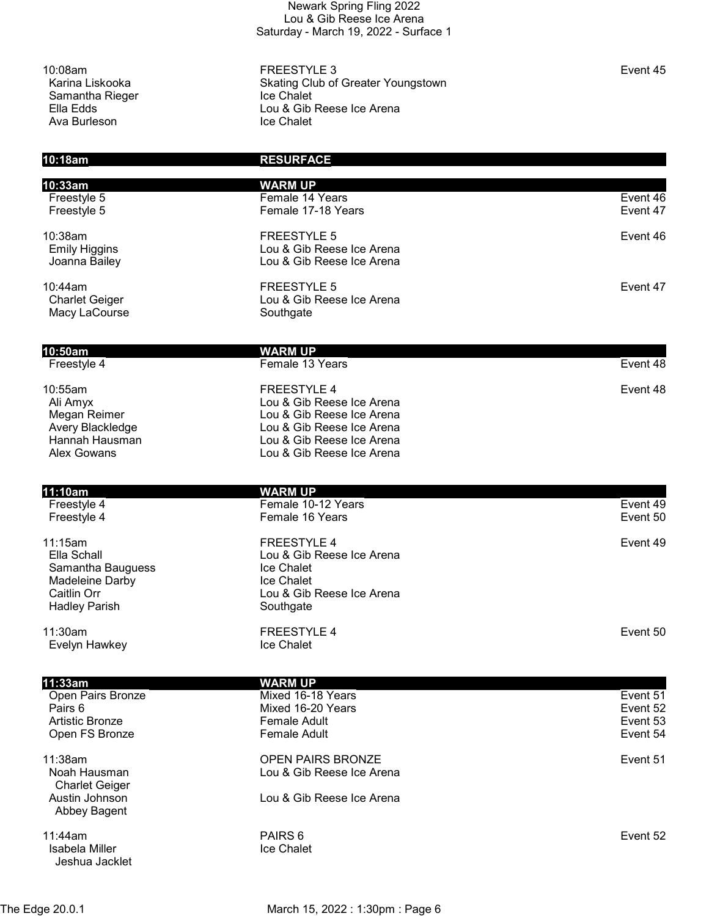Samantha Rieger<br>Ella Edds Ava Burleson

10:08am FREESTYLE 3 Event 45 Skating Club of Greater Youngstown<br>Ice Chalet Lou & Gib Reese Ice Arena<br>Ice Chalet

10:18am RESURFACE

| 10:33am<br>Freestyle 5                   | <b>WARM UP</b><br>Female 14 Years               | Event 46             |
|------------------------------------------|-------------------------------------------------|----------------------|
| Freestyle 5                              | Female 17-18 Years                              | Event 47             |
|                                          |                                                 |                      |
| 10:38am<br><b>Emily Higgins</b>          | <b>FREESTYLE 5</b><br>Lou & Gib Reese Ice Arena | Event 46             |
| Joanna Bailey                            | Lou & Gib Reese Ice Arena                       |                      |
|                                          |                                                 |                      |
| 10:44am<br><b>Charlet Geiger</b>         | <b>FREESTYLE 5</b><br>Lou & Gib Reese Ice Arena | Event 47             |
| Macy LaCourse                            | Southgate                                       |                      |
|                                          |                                                 |                      |
| 10:50am                                  | <b>WARM UP</b>                                  |                      |
| Freestyle 4                              | Female 13 Years                                 | Event 48             |
| 10:55am                                  | <b>FREESTYLE 4</b>                              | Event 48             |
| Ali Amyx                                 | Lou & Gib Reese Ice Arena                       |                      |
| Megan Reimer                             | Lou & Gib Reese Ice Arena                       |                      |
| Avery Blackledge                         | Lou & Gib Reese Ice Arena                       |                      |
| Hannah Hausman                           | Lou & Gib Reese Ice Arena                       |                      |
| <b>Alex Gowans</b>                       | Lou & Gib Reese Ice Arena                       |                      |
|                                          |                                                 |                      |
| 11:10am<br>Freestyle 4                   | <b>WARM UP</b><br>Female 10-12 Years            | Event 49             |
| Freestyle 4                              | Female 16 Years                                 | Event 50             |
|                                          |                                                 |                      |
| 11:15am                                  | <b>FREESTYLE 4</b>                              | Event 49             |
| Ella Schall<br>Samantha Bauguess         | Lou & Gib Reese Ice Arena<br>Ice Chalet         |                      |
| Madeleine Darby                          | Ice Chalet                                      |                      |
| Caitlin Orr                              | Lou & Gib Reese Ice Arena                       |                      |
| <b>Hadley Parish</b>                     | Southgate                                       |                      |
| 11:30am                                  | <b>FREESTYLE 4</b>                              | Event 50             |
| Evelyn Hawkey                            | Ice Chalet                                      |                      |
|                                          |                                                 |                      |
| 11:33am                                  | <b>WARM UP</b>                                  |                      |
| Open Pairs Bronze                        | Mixed 16-18 Years                               | Event 51             |
| Pairs 6                                  | Mixed 16-20 Years                               | Event 52             |
| <b>Artistic Bronze</b><br>Open FS Bronze | Female Adult<br><b>Female Adult</b>             | Event 53<br>Event 54 |
|                                          |                                                 |                      |
| 11:38am                                  | <b>OPEN PAIRS BRONZE</b>                        | Event 51             |
| Noah Hausman                             | Lou & Gib Reese Ice Arena                       |                      |
| <b>Charlet Geiger</b>                    |                                                 |                      |
| Austin Johnson<br>Abbey Bagent           | Lou & Gib Reese Ice Arena                       |                      |
|                                          |                                                 |                      |
| 11:44am                                  | PAIRS <sub>6</sub>                              | Event 52             |
| Isabela Miller                           | Ice Chalet                                      |                      |
| Jeshua Jacklet                           |                                                 |                      |

The Edge 20.0.1 March 15, 2022 : 1:30pm : Page 6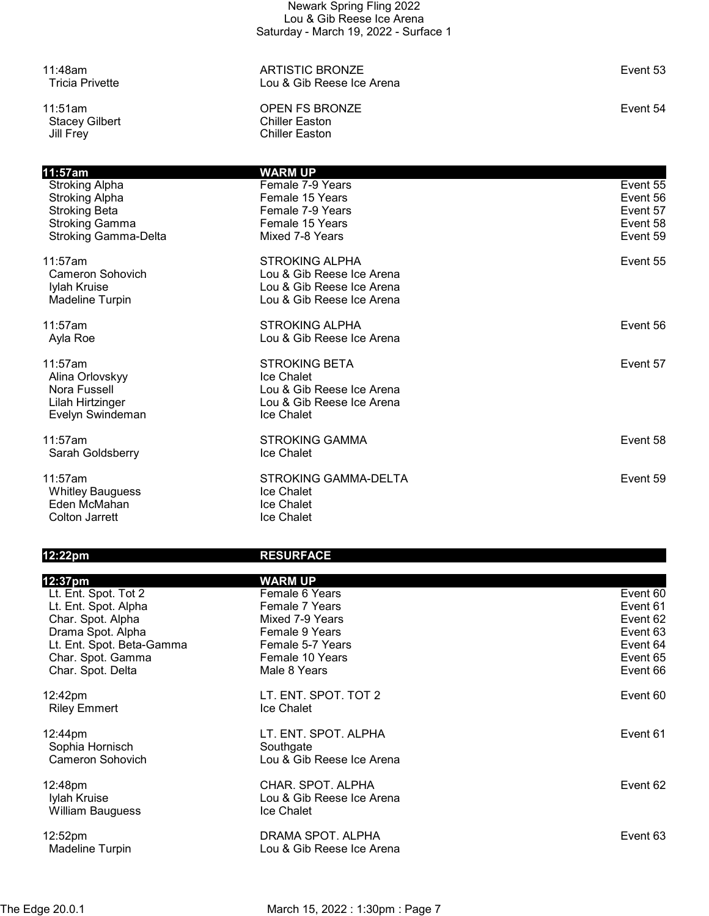Stacey Gilbert<br>Jill Frey

11:48am ARTISTIC BRONZE Event 53 Lou & Gib Reese Ice Arena

11:51am OPEN FS BRONZE Event 54 Chiller Easton

| 11:57am                     | <b>WARM UP</b>              |          |
|-----------------------------|-----------------------------|----------|
| <b>Stroking Alpha</b>       | Female 7-9 Years            | Event 55 |
| <b>Stroking Alpha</b>       | Female 15 Years             | Event 56 |
| <b>Stroking Beta</b>        | Female 7-9 Years            | Event 57 |
| <b>Stroking Gamma</b>       | Female 15 Years             | Event 58 |
| <b>Stroking Gamma-Delta</b> | Mixed 7-8 Years             | Event 59 |
| 11:57am                     | <b>STROKING ALPHA</b>       | Event 55 |
| Cameron Sohovich            | Lou & Gib Reese Ice Arena   |          |
| Iylah Kruise                | Lou & Gib Reese Ice Arena   |          |
| <b>Madeline Turpin</b>      | Lou & Gib Reese Ice Arena   |          |
| 11:57am                     | <b>STROKING ALPHA</b>       | Event 56 |
| Ayla Roe                    | Lou & Gib Reese Ice Arena   |          |
| 11:57am                     | <b>STROKING BETA</b>        | Event 57 |
| Alina Orlovskyy             | Ice Chalet                  |          |
| Nora Fussell                | Lou & Gib Reese Ice Arena   |          |
| Lilah Hirtzinger            | Lou & Gib Reese Ice Arena   |          |
| Evelyn Swindeman            | Ice Chalet                  |          |
| 11:57am                     | <b>STROKING GAMMA</b>       | Event 58 |
| Sarah Goldsberry            | Ice Chalet                  |          |
|                             |                             |          |
| 11:57am                     | <b>STROKING GAMMA-DELTA</b> | Event 59 |
| <b>Whitley Bauguess</b>     | Ice Chalet                  |          |
| Eden McMahan                | Ice Chalet                  |          |
| Colton Jarrett              | Ice Chalet                  |          |

## 12:22pm RESURFACE

| 12:37pm                                 | <b>WARM UP</b>                                 |          |
|-----------------------------------------|------------------------------------------------|----------|
| Lt. Ent. Spot. Tot 2                    | Female 6 Years                                 | Event 60 |
| Lt. Ent. Spot. Alpha                    | Female 7 Years                                 | Event 61 |
| Char. Spot. Alpha                       | Mixed 7-9 Years                                | Event 62 |
| Drama Spot. Alpha                       | Female 9 Years                                 | Event 63 |
| Lt. Ent. Spot. Beta-Gamma               | Female 5-7 Years                               | Event 64 |
| Char. Spot. Gamma                       | Female 10 Years                                | Event 65 |
| Char. Spot. Delta                       | Male 8 Years                                   | Event 66 |
| 12:42pm<br><b>Riley Emmert</b>          | LT. ENT. SPOT. TOT 2<br>Ice Chalet             | Event 60 |
| 12:44pm                                 | LT. ENT. SPOT. ALPHA                           | Event 61 |
| Sophia Hornisch                         | Southgate                                      |          |
| Cameron Sohovich                        | Lou & Gib Reese Ice Arena                      |          |
|                                         |                                                |          |
| 12:48pm                                 | CHAR. SPOT. ALPHA<br>Lou & Gib Reese Ice Arena | Event 62 |
| Iylah Kruise<br><b>William Bauguess</b> | Ice Chalet                                     |          |
|                                         |                                                |          |
| 12:52pm                                 | DRAMA SPOT. ALPHA                              | Event 63 |
| <b>Madeline Turpin</b>                  | Lou & Gib Reese Ice Arena                      |          |
|                                         |                                                |          |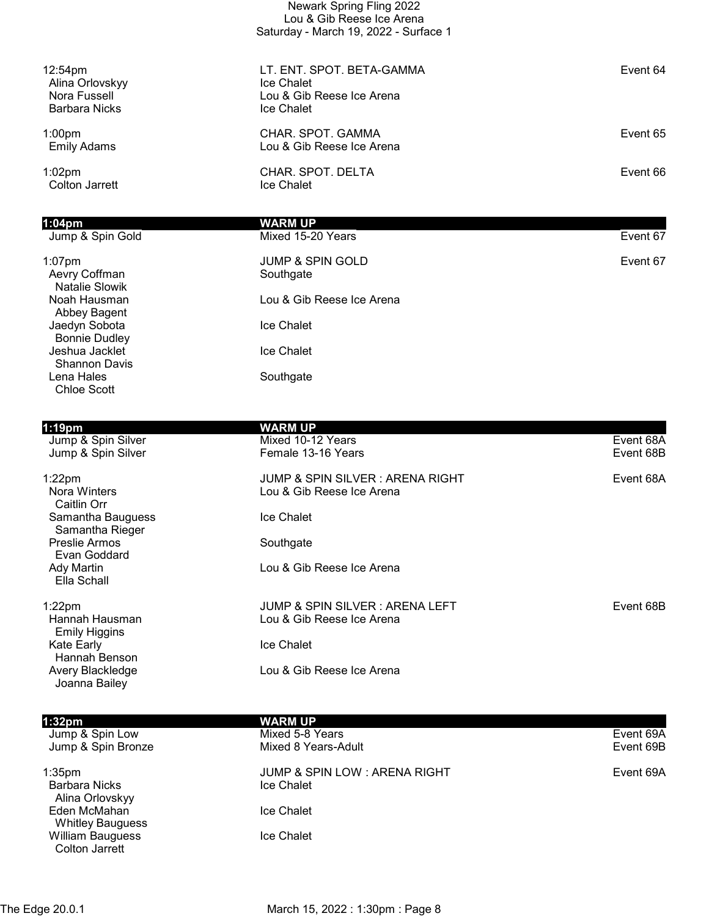|                                                                                | Newark Spring Fling 2022<br>Lou & Gib Reese Ice Arena<br>Saturday - March 19, 2022 - Surface 1 |          |
|--------------------------------------------------------------------------------|------------------------------------------------------------------------------------------------|----------|
| 12:54 <sub>pm</sub><br>Alina Orlovskyy<br>Nora Fussell<br><b>Barbara Nicks</b> | LT. ENT. SPOT. BETA-GAMMA<br>Ice Chalet<br>Lou & Gib Reese Ice Arena<br>Ice Chalet             | Event 64 |
| 1:00 <sub>pm</sub><br><b>Emily Adams</b>                                       | CHAR. SPOT. GAMMA<br>Lou & Gib Reese Ice Arena                                                 | Event 65 |
| $1:02$ pm<br><b>Colton Jarrett</b>                                             | CHAR. SPOT. DELTA<br>Ice Chalet                                                                | Event 66 |
| $1:04$ pm                                                                      | <b>WARM UP</b>                                                                                 |          |
| Jump & Spin Gold                                                               | Mixed 15-20 Years                                                                              | Event 67 |
| $1:07$ pm<br>Aevry Coffman<br>Natalie Slowik                                   | <b>JUMP &amp; SPIN GOLD</b><br>Southgate                                                       | Event 67 |
| Noah Hausman<br>Abbey Bagent                                                   | Lou & Gib Reese Ice Arena                                                                      |          |
| Jaedyn Sobota<br><b>Bonnie Dudley</b>                                          | Ice Chalet                                                                                     |          |
| Jeshua Jacklet<br><b>Shannon Davis</b>                                         | Ice Chalet                                                                                     |          |
| Lena Hales<br><b>Chloe Scott</b>                                               | Southgate                                                                                      |          |

| $1:19$ pm                              | WARM UP                                    |           |
|----------------------------------------|--------------------------------------------|-----------|
| Jump & Spin Silver                     | Mixed 10-12 Years                          | Event 68A |
| Jump & Spin Silver                     | Female 13-16 Years                         | Event 68B |
| $1:22$ pm                              | <b>JUMP &amp; SPIN SILVER: ARENA RIGHT</b> | Event 68A |
| Nora Winters<br>Caitlin Orr            | Lou & Gib Reese Ice Arena                  |           |
| Samantha Bauguess<br>Samantha Rieger   | Ice Chalet                                 |           |
| Preslie Armos<br>Evan Goddard          | Southgate                                  |           |
| Ady Martin<br>Ella Schall              | Lou & Gib Reese Ice Arena                  |           |
| $1:22$ pm                              | JUMP & SPIN SILVER : ARENA LEFT            | Event 68B |
| Hannah Hausman<br><b>Emily Higgins</b> | Lou & Gib Reese Ice Arena                  |           |
| Kate Early<br>Hannah Benson            | Ice Chalet                                 |           |
| Avery Blackledge<br>Joanna Bailey      | Lou & Gib Reese Ice Arena                  |           |

| 1:32 <sub>pm</sub><br>Jump & Spin Low<br>Jump & Spin Bronze | <b>WARM UP</b><br>Mixed 5-8 Years<br>Mixed 8 Years-Adult     | Event 69A<br>Event 69B |
|-------------------------------------------------------------|--------------------------------------------------------------|------------------------|
| $1:35$ pm<br><b>Barbara Nicks</b>                           | <b>JUMP &amp; SPIN LOW: ARENA RIGHT</b><br><b>Ice Chalet</b> | Event 69A              |
| Alina Orlovskyy<br>Eden McMahan<br><b>Whitley Bauguess</b>  | Ice Chalet                                                   |                        |
| <b>William Bauguess</b><br>Colton Jarrett                   | Ice Chalet                                                   |                        |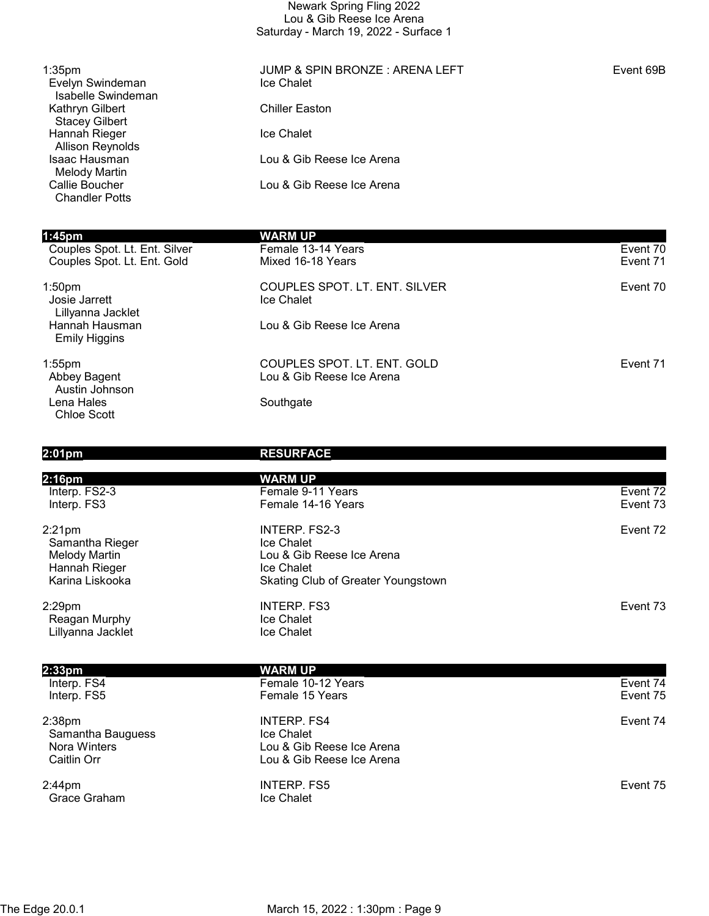| Newark Spring Fling 2022              |  |  |
|---------------------------------------|--|--|
| Lou & Gib Reese Ice Arena             |  |  |
| Saturday - March 19, 2022 - Surface 1 |  |  |

| 1:35 <sub>pm</sub><br>Evelyn Swindeman<br>Isabelle Swindeman | JUMP & SPIN BRONZE: ARENA LEFT<br>Ice Chalet | Event 69B |
|--------------------------------------------------------------|----------------------------------------------|-----------|
| Kathryn Gilbert<br><b>Stacey Gilbert</b>                     | <b>Chiller Easton</b>                        |           |
| Hannah Rieger<br><b>Allison Reynolds</b>                     | Ice Chalet                                   |           |
| <b>Isaac Hausman</b><br><b>Melody Martin</b>                 | Lou & Gib Reese Ice Arena                    |           |
| Callie Boucher<br><b>Chandler Potts</b>                      | Lou & Gib Reese Ice Arena                    |           |
| 1:45 <sub>pm</sub>                                           | <b>WARM UP</b>                               |           |
| Couples Spot. Lt. Ent. Silver                                | Female 13-14 Years                           | Event 70  |
| Couples Spot. Lt. Ent. Gold                                  | Mixed 16-18 Years                            | Event 71  |
| 1:50 <sub>pm</sub>                                           | COUPLES SPOT. LT. ENT. SILVER                | Event 70  |
| Josie Jarrett<br>Lillyanna Jacklet                           | Ice Chalet                                   |           |
| Hannah Hausman                                               | Lou & Gib Reese Ice Arena                    |           |

1:55pm COUPLES SPOT. LT. ENT. GOLD Event 71 Austin Johnson Lena Hales **Southgate** Southgate Chloe Scott

Emily Higgins

2:33pm WARM UP

2:38pm INTERP. FS4 Event 74 Samantha Bauguess<br>
Nora Winters<br>
Nora Winters<br>
1990 - Saman Lou & Gib

2:44pm INTERP. FS5 Event 75 Grace Graham **Ice Chalet** 

#### 2:01pm RESURFACE

Lou & Gib Reese Ice Arena

| 2:16pm            | <b>WARM UP</b>                            |          |
|-------------------|-------------------------------------------|----------|
| Interp. FS2-3     | Female 9-11 Years                         | Event 72 |
| Interp. FS3       | Female 14-16 Years                        | Event 73 |
| 2:21pm            | INTERP. FS2-3                             | Event 72 |
| Samantha Rieger   | Ice Chalet                                |          |
| Melody Martin     | Lou & Gib Reese Ice Arena                 |          |
| Hannah Rieger     | <b>Ice Chalet</b>                         |          |
| Karina Liskooka   | <b>Skating Club of Greater Youngstown</b> |          |
| 2:29pm            | <b>INTERP. FS3</b>                        | Event 73 |
| Reagan Murphy     | <b>Ice Chalet</b>                         |          |
| Lillyanna Jacklet | <b>Ice Chalet</b>                         |          |
|                   |                                           |          |
| 0.00              | <b>WARDER LID</b>                         |          |

Interp. FS4 Female 10-12 Years Event 74 Interp. FS5 Event 75

 Nora Winters Lou & Gib Reese Ice Arena Lou & Gib Reese Ice Arena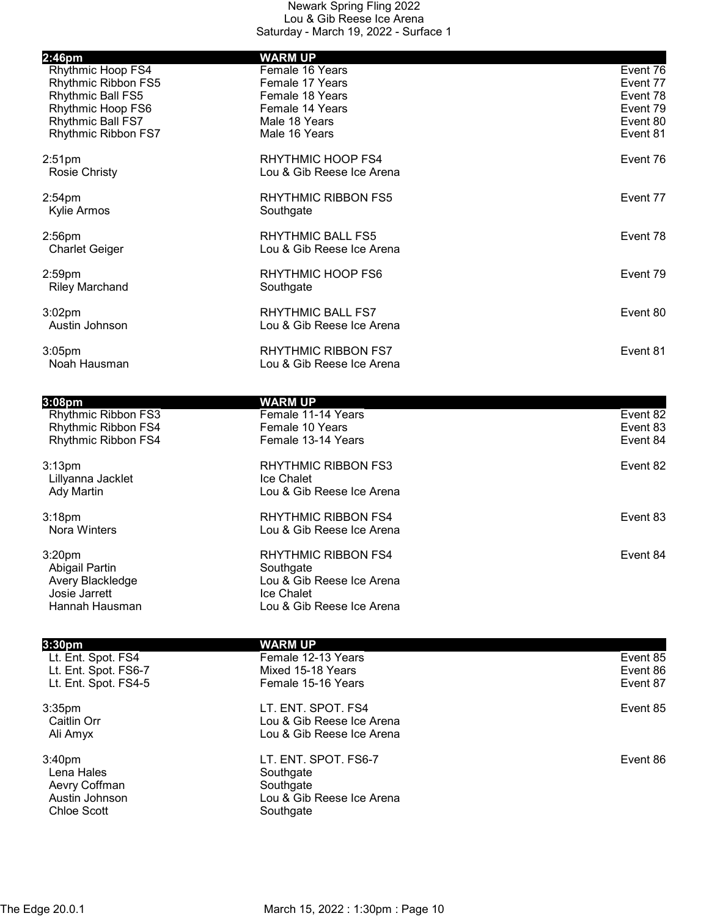|                                                                                                                                          | <b>WARM UP</b>                                                                                                  |                                                                      |
|------------------------------------------------------------------------------------------------------------------------------------------|-----------------------------------------------------------------------------------------------------------------|----------------------------------------------------------------------|
| 2:46pm<br>Rhythmic Hoop FS4<br>Rhythmic Ribbon FS5<br>Rhythmic Ball FS5<br>Rhythmic Hoop FS6<br>Rhythmic Ball FS7<br>Rhythmic Ribbon FS7 | Female 16 Years<br>Female 17 Years<br>Female 18 Years<br>Female 14 Years<br>Male 18 Years<br>Male 16 Years      | Event 76<br>Event 77<br>Event 78<br>Event 79<br>Event 80<br>Event 81 |
| 2:51 <sub>pm</sub><br><b>Rosie Christy</b>                                                                                               | <b>RHYTHMIC HOOP FS4</b><br>Lou & Gib Reese Ice Arena                                                           | Event 76                                                             |
| $2:54$ pm<br>Kylie Armos                                                                                                                 | <b>RHYTHMIC RIBBON FS5</b><br>Southgate                                                                         | Event 77                                                             |
| 2:56pm<br><b>Charlet Geiger</b>                                                                                                          | <b>RHYTHMIC BALL FS5</b><br>Lou & Gib Reese Ice Arena                                                           | Event 78                                                             |
| $2:59$ pm<br><b>Riley Marchand</b>                                                                                                       | RHYTHMIC HOOP FS6<br>Southgate                                                                                  | Event 79                                                             |
| $3:02$ pm<br>Austin Johnson                                                                                                              | <b>RHYTHMIC BALL FS7</b><br>Lou & Gib Reese Ice Arena                                                           | Event 80                                                             |
| $3:05$ pm<br>Noah Hausman                                                                                                                | <b>RHYTHMIC RIBBON FS7</b><br>Lou & Gib Reese Ice Arena                                                         | Event 81                                                             |
| 3:08 <sub>pm</sub><br>Rhythmic Ribbon FS3<br>Rhythmic Ribbon FS4<br>Rhythmic Ribbon FS4                                                  | <b>WARM UP</b><br>Female 11-14 Years<br>Female 10 Years<br>Female 13-14 Years                                   | Event 82<br>Event 83<br>Event 84                                     |
| 3:13 <sub>pm</sub><br>Lillyanna Jacklet<br>Ady Martin                                                                                    | <b>RHYTHMIC RIBBON FS3</b><br>Ice Chalet<br>Lou & Gib Reese Ice Arena                                           | Event 82                                                             |
| 3:18 <sub>pm</sub><br>Nora Winters                                                                                                       | <b>RHYTHMIC RIBBON FS4</b><br>Lou & Gib Reese Ice Arena                                                         | Event 83                                                             |
| 3:20 <sub>pm</sub><br>Abigail Partin<br>Avery Blackledge<br>Josie Jarrett<br>Hannah Hausman                                              | <b>RHYTHMIC RIBBON FS4</b><br>Southgate<br>Lou & Gib Reese Ice Arena<br>Ice Chalet<br>Lou & Gib Reese Ice Arena | Event 84                                                             |

| 3:30 <sub>pm</sub>                                                                        | WARM UP                                                                                  |          |
|-------------------------------------------------------------------------------------------|------------------------------------------------------------------------------------------|----------|
| Lt. Ent. Spot. FS4                                                                        | Female 12-13 Years                                                                       | Event 85 |
| Lt. Ent. Spot. FS6-7                                                                      | Mixed 15-18 Years                                                                        | Event 86 |
| Lt. Ent. Spot. FS4-5                                                                      | Female 15-16 Years                                                                       | Event 87 |
| 3:35 <sub>pm</sub><br>Caitlin Orr                                                         | LT. ENT. SPOT. FS4<br>Lou & Gib Reese Ice Arena                                          | Event 85 |
| Ali Amyx                                                                                  | Lou & Gib Reese Ice Arena                                                                |          |
|                                                                                           |                                                                                          |          |
| 3:40 <sub>pm</sub><br>Lena Hales<br>Aevry Coffman<br>Austin Johnson<br><b>Chloe Scott</b> | LT. ENT. SPOT. FS6-7<br>Southgate<br>Southgate<br>Lou & Gib Reese Ice Arena<br>Southgate | Event 86 |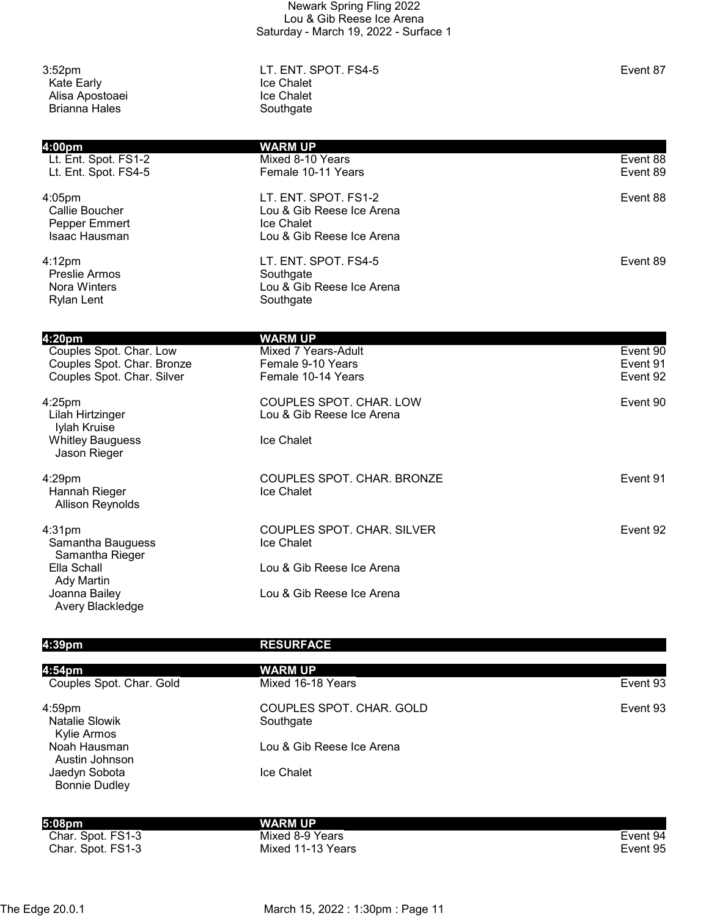| 3:52 <sub>pm</sub><br>Kate Early<br>Alisa Apostoaei<br><b>Brianna Hales</b>                   | LT. ENT. SPOT. FS4-5<br>Ice Chalet<br>Ice Chalet<br>Southgate                                | Event 87                         |
|-----------------------------------------------------------------------------------------------|----------------------------------------------------------------------------------------------|----------------------------------|
| 4:00pm<br>Lt. Ent. Spot. FS1-2<br>Lt. Ent. Spot. FS4-5                                        | <b>WARM UP</b><br>Mixed 8-10 Years<br>Female 10-11 Years                                     | Event 88<br>Event 89             |
| $4:05$ pm<br>Callie Boucher<br>Pepper Emmert<br>Isaac Hausman                                 | LT. ENT. SPOT. FS1-2<br>Lou & Gib Reese Ice Arena<br>Ice Chalet<br>Lou & Gib Reese Ice Arena | Event 88                         |
| $4:12$ pm<br><b>Preslie Armos</b><br>Nora Winters<br><b>Rylan Lent</b>                        | LT. ENT. SPOT. FS4-5<br>Southgate<br>Lou & Gib Reese Ice Arena<br>Southgate                  | Event 89                         |
| 4:20pm<br>Couples Spot. Char. Low<br>Couples Spot. Char. Bronze<br>Couples Spot. Char. Silver | <b>WARM UP</b><br>Mixed 7 Years-Adult<br>Female 9-10 Years<br>Female 10-14 Years             | Event 90<br>Event 91<br>Event 92 |
| $4:25$ pm                                                                                     | COUPLES SPOT. CHAR. LOW                                                                      | Event 90                         |

Lou & Gib Reese Ice Arena

Ice Chalet

4:29pm COUPLES SPOT. CHAR. BRONZE Hannah Rieger **Internal and Tanach Rieger** Ice Chalet Allison Reynolds

4:31pm COUPLES SPOT. CHAR. SILVER Event 92 Samantha Bauguess Samantha Rieger Ella Schall **Lou & Gib Reese Ice Arena**  Ady Martin Joanna Bailey **Lou & Gib Reese Ice Arena** Avery Blackledge

#### 4:39pm RESURFACE

| 4:54pm                                            | <b>WARM UP</b>                        |          |
|---------------------------------------------------|---------------------------------------|----------|
| Couples Spot. Char. Gold                          | Mixed 16-18 Years                     | Event 93 |
| $4:59$ pm<br><b>Natalie Slowik</b><br>Kylie Armos | COUPLES SPOT. CHAR. GOLD<br>Southgate | Event 93 |
| Noah Hausman<br>Austin Johnson                    | Lou & Gib Reese Ice Arena             |          |
| Jaedyn Sobota<br><b>Bonnie Dudley</b>             | <b>Ice Chalet</b>                     |          |
| 5:08pm                                            | WARM UP                               |          |
| Char. Spot. FS1-3                                 | Mixed 8-9 Years                       | Event 94 |
| Char. Spot. FS1-3                                 | Mixed 11-13 Years                     | Event 95 |

Char. Spot. FS1-3 Char. Spot. FS1-3

The Edge 20.0.1 March 15, 2022 : 1:30pm : Page 11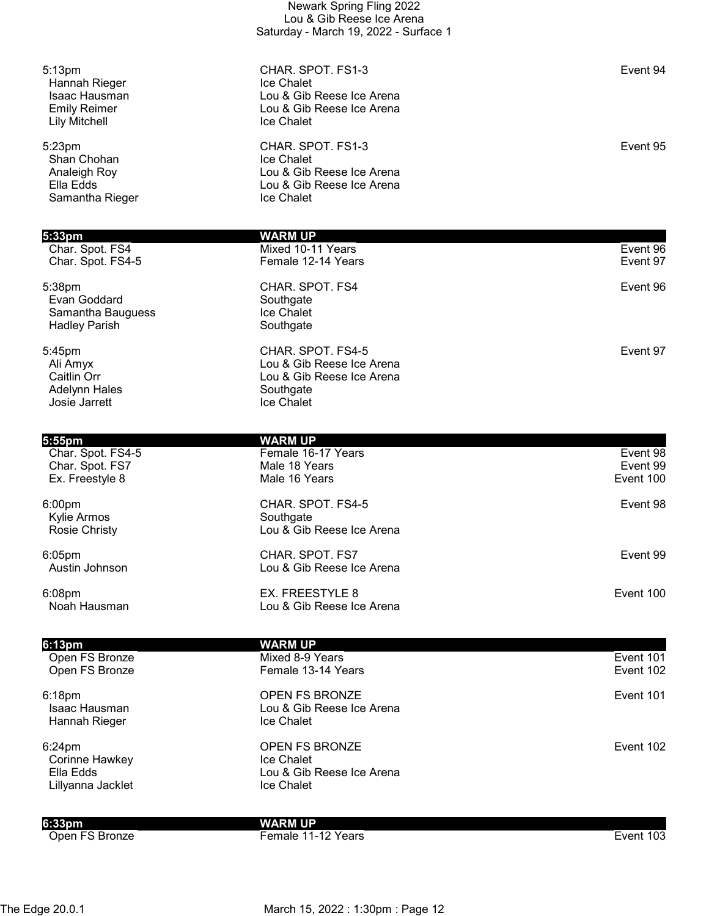|                                                                                                            | Saturday - March 19, 2022 - Surface 1                                                                   |                                   |
|------------------------------------------------------------------------------------------------------------|---------------------------------------------------------------------------------------------------------|-----------------------------------|
| 5:13 <sub>pm</sub><br>Hannah Rieger<br><b>Isaac Hausman</b><br><b>Emily Reimer</b><br><b>Lily Mitchell</b> | CHAR. SPOT. FS1-3<br>Ice Chalet<br>Lou & Gib Reese Ice Arena<br>Lou & Gib Reese Ice Arena<br>Ice Chalet | Event 94                          |
| 5:23pm<br>Shan Chohan<br>Analeigh Roy<br>Ella Edds<br>Samantha Rieger                                      | CHAR. SPOT. FS1-3<br>Ice Chalet<br>Lou & Gib Reese Ice Arena<br>Lou & Gib Reese Ice Arena<br>Ice Chalet | Event 95                          |
| 5:33pm                                                                                                     | <b>WARM UP</b>                                                                                          |                                   |
| Char. Spot. FS4<br>Char. Spot. FS4-5                                                                       | Mixed 10-11 Years<br>Female 12-14 Years                                                                 | Event 96<br>Event 97              |
| 5:38pm<br>Evan Goddard<br>Samantha Bauguess<br><b>Hadley Parish</b>                                        | CHAR. SPOT. FS4<br>Southgate<br>Ice Chalet<br>Southgate                                                 | Event 96                          |
| 5:45pm<br>Ali Amyx<br>Caitlin Orr<br><b>Adelynn Hales</b><br>Josie Jarrett                                 | CHAR. SPOT. FS4-5<br>Lou & Gib Reese Ice Arena<br>Lou & Gib Reese Ice Arena<br>Southgate<br>Ice Chalet  | Event 97                          |
| 5:55pm                                                                                                     | <b>WARM UP</b>                                                                                          |                                   |
| Char. Spot. FS4-5<br>Char. Spot. FS7<br>Ex. Freestyle 8                                                    | Female 16-17 Years<br>Male 18 Years<br>Male 16 Years                                                    | Event 98<br>Event 99<br>Event 100 |
| 6:00pm<br>Kylie Armos<br><b>Rosie Christy</b>                                                              | CHAR. SPOT. FS4-5<br>Southgate<br>Lou & Gib Reese Ice Arena                                             | Event 98                          |
| $6:05$ pm<br>Austin Johnson                                                                                | CHAR. SPOT. FS7<br>Lou & Gib Reese Ice Arena                                                            | Event 99                          |
| 6:08pm<br>Noah Hausman                                                                                     | EX. FREESTYLE 8<br>Lou & Gib Reese Ice Arena                                                            | Event 100                         |
| 6:13pm                                                                                                     | <b>WARM UP</b>                                                                                          |                                   |
| Open FS Bronze<br>Open FS Bronze                                                                           | Mixed 8-9 Years<br>Female 13-14 Years                                                                   | Event 101<br>Event 102            |
| 6:18pm<br>Isaac Hausman<br>Hannah Rieger                                                                   | OPEN FS BRONZE<br>Lou & Gib Reese Ice Arena<br>Ice Chalet                                               | Event 101                         |
| 6:24pm<br>Corinne Hawkey<br>Ella Edds<br>Lillyanna Jacklet                                                 | OPEN FS BRONZE<br>Ice Chalet<br>Lou & Gib Reese Ice Arena<br>Ice Chalet                                 | Event 102                         |
| 6:33 <sub>pm</sub>                                                                                         | <b>WARM UP</b>                                                                                          |                                   |
| Open FS Bronze                                                                                             | Female 11-12 Years                                                                                      | Event 103                         |

Newark Spring Fling 2022 Lou & Gib Reese Ice Arena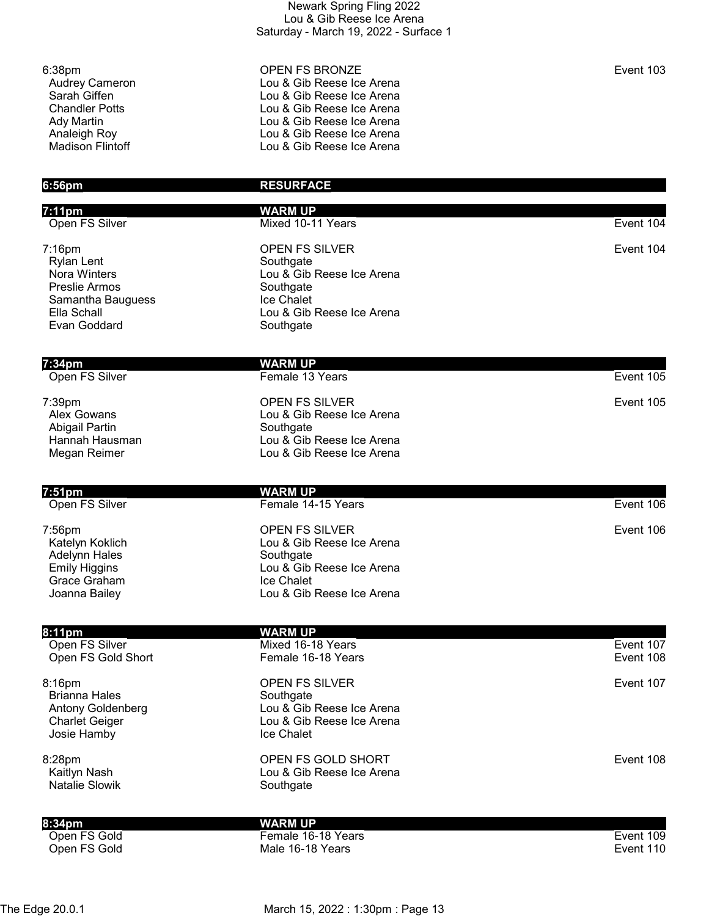| Newark Spring Fling 2022              |
|---------------------------------------|
| Lou & Gib Reese Ice Arena             |
| Saturday - March 19, 2022 - Surface 1 |

| 6:56pm                  | <b>RESURFACE</b>          |           |
|-------------------------|---------------------------|-----------|
| <b>Madison Flintoff</b> | Lou & Gib Reese Ice Arena |           |
| Analeigh Roy            | Lou & Gib Reese Ice Arena |           |
| Ady Martin              | Lou & Gib Reese Ice Arena |           |
| <b>Chandler Potts</b>   | Lou & Gib Reese Ice Arena |           |
| Sarah Giffen            | Lou & Gib Reese Ice Arena |           |
| <b>Audrey Cameron</b>   | Lou & Gib Reese Ice Arena |           |
| 6:38pm                  | <b>OPEN FS BRONZE</b>     | Event 103 |

| 6:56pm                                                                                                           | <b>RESURFACE</b>                                                                                                                        |                        |
|------------------------------------------------------------------------------------------------------------------|-----------------------------------------------------------------------------------------------------------------------------------------|------------------------|
| 7:11pm                                                                                                           | <b>WARM UP</b>                                                                                                                          |                        |
| Open FS Silver                                                                                                   | Mixed 10-11 Years                                                                                                                       | Event 104              |
| 7:16pm<br><b>Rylan Lent</b><br>Nora Winters<br>Preslie Armos<br>Samantha Bauguess<br>Ella Schall<br>Evan Goddard | <b>OPEN FS SILVER</b><br>Southgate<br>Lou & Gib Reese Ice Arena<br>Southgate<br>Ice Chalet<br>Lou & Gib Reese Ice Arena<br>Southgate    | Event 104              |
| 7:34pm                                                                                                           | <b>WARM UP</b>                                                                                                                          |                        |
| Open FS Silver                                                                                                   | Female 13 Years                                                                                                                         | Event 105              |
| 7:39pm<br><b>Alex Gowans</b><br>Abigail Partin<br>Hannah Hausman<br>Megan Reimer                                 | <b>OPEN FS SILVER</b><br>Lou & Gib Reese Ice Arena<br>Southgate<br>Lou & Gib Reese Ice Arena<br>Lou & Gib Reese Ice Arena               | Event 105              |
| 7:51pm                                                                                                           | <b>WARM UP</b>                                                                                                                          |                        |
| Open FS Silver                                                                                                   | Female 14-15 Years                                                                                                                      | Event 106              |
| 7:56pm<br>Katelyn Koklich<br><b>Adelynn Hales</b><br><b>Emily Higgins</b><br>Grace Graham<br>Joanna Bailey       | <b>OPEN FS SILVER</b><br>Lou & Gib Reese Ice Arena<br>Southgate<br>Lou & Gib Reese Ice Arena<br>Ice Chalet<br>Lou & Gib Reese Ice Arena | Event 106              |
|                                                                                                                  |                                                                                                                                         |                        |
| 8:11pm<br>Open FS Silver<br>Open FS Gold Short                                                                   | <b>WARM UP</b><br>Mixed 16-18 Years<br>Female 16-18 Years                                                                               | Event 107<br>Event 108 |
| 8:16pm<br>- Brianna Hales                                                                                        | OPEN FS SILVER<br>Southaate                                                                                                             | Event 107              |

Brianna Hales<br>Antony Goldenberg Brianna Fraies<br>
Antony Goldenberg Lou & Gib Reese Ice Arena<br>
Charlet Geiger Lou & Gib Reese Ice Arena Josie Hamby

8:28pm OPEN FS GOLD SHORT Event 108 Natalie Slowik **Southgate** Southgate

8:34pm<br>Open FS Gold<br>Open FS Gold Open FS Gold Male 16-18 Years Event 110

# Open FS Gold Female 16-18 Years Event 109

Lou & Gib Reese Ice Arena<br>Ice Chalet

Lou & Gib Reese Ice Arena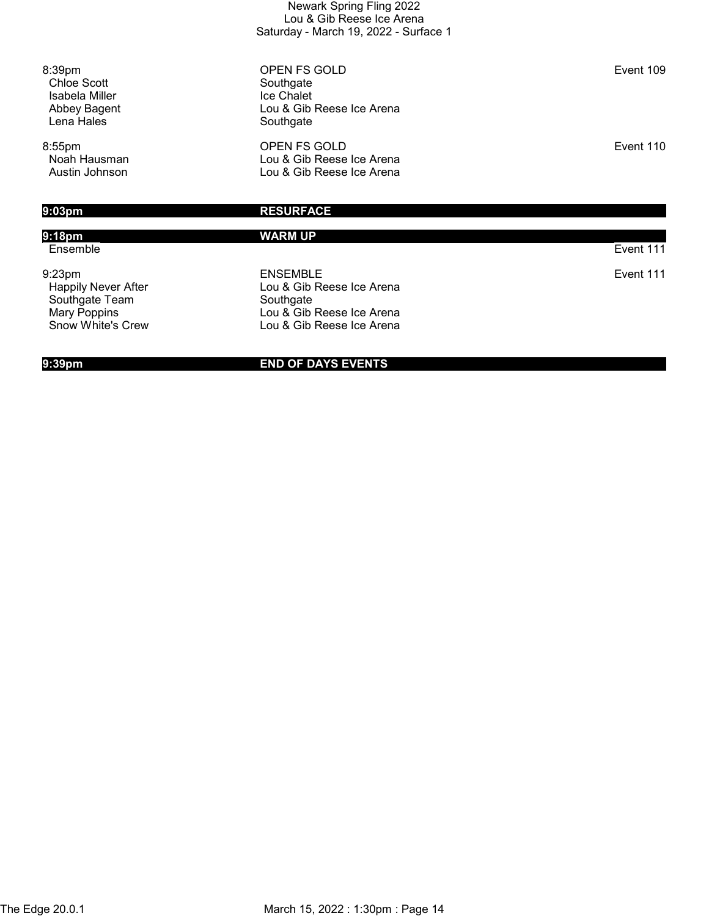| Newark Spring Fling 2022              |
|---------------------------------------|
| Lou & Gib Reese Ice Arena             |
| Saturday - March 19, 2022 - Surface 1 |

8:39pm **OPEN FS GOLD Event 109**  Chloe Scott Southgate Lou & Gib Reese Ice Arena<br>Southgate

8:55pm OPEN FS GOLD Event 110 Noah Hausman **Noah Hausman** Lou & Gib Reese Ice Arena<br>Austin Johnson **Lou & Gib Reese Ice Arena** Lou & Gib Reese Ice Arena

Isabela Miller<br>Abbey Bagent

Lena Hales

## 9:03pm RESURFACE

## 9:18pm WARM UP Ensemble Event 111 9:23pm ENSEMBLE Event 111 Happily Never After **Lou & Gib Reese Ice Arena**<br>
Southgate Team Southgate Southgate Team<br>Mary Poppins Mary Poppins<br>
Snow White's Crew
Snow White's Crew
Book Come Lou & Gib Reese Ice Arena
Snow White's Crew
Book Come Lou & Gib Reese Ice Arena
Lou & Gib Reese Ice Arena Lou & Gib Reese Ice Arena

### 9:39pm END OF DAYS EVENTS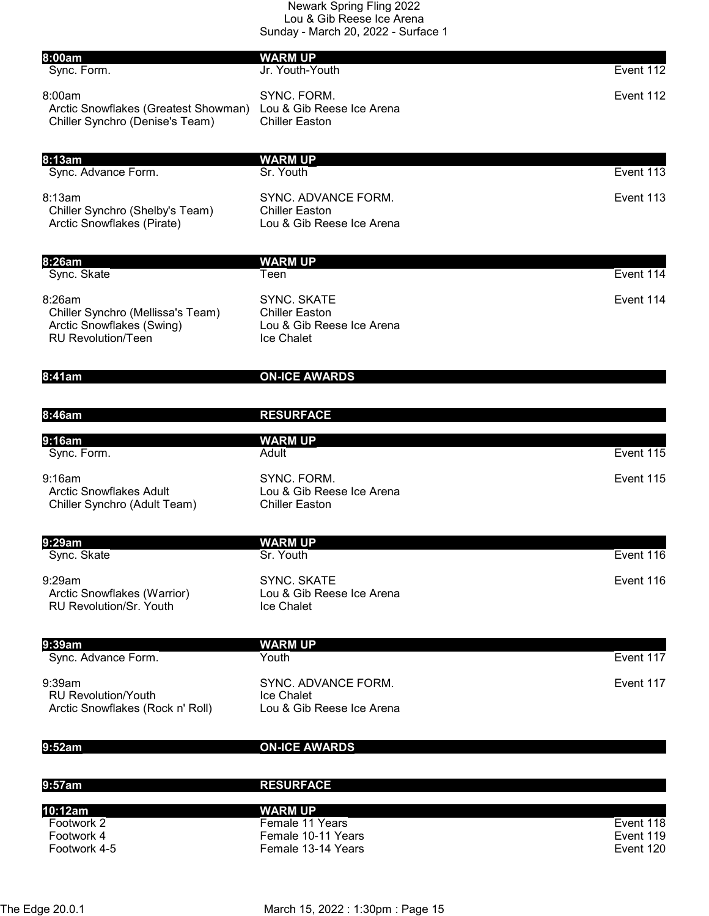| 8:00am                                                                                                | <b>WARM UP</b>                                                                         |                        |
|-------------------------------------------------------------------------------------------------------|----------------------------------------------------------------------------------------|------------------------|
| Sync. Form.                                                                                           | Jr. Youth-Youth                                                                        | Event 112              |
| 8:00am<br>Arctic Snowflakes (Greatest Showman)<br>Chiller Synchro (Denise's Team)                     | SYNC. FORM.<br>Lou & Gib Reese Ice Arena<br><b>Chiller Easton</b>                      | Event 112              |
| 8:13am                                                                                                | <b>WARM UP</b>                                                                         |                        |
| Sync. Advance Form.                                                                                   | Sr. Youth                                                                              | Event 113              |
| 8:13am<br>Chiller Synchro (Shelby's Team)<br>Arctic Snowflakes (Pirate)                               | SYNC. ADVANCE FORM.<br><b>Chiller Easton</b><br>Lou & Gib Reese Ice Arena              | Event 113              |
| 8:26am                                                                                                | <b>WARM UP</b>                                                                         |                        |
| Sync. Skate                                                                                           | Teen                                                                                   | Event 114              |
| 8:26am<br>Chiller Synchro (Mellissa's Team)<br>Arctic Snowflakes (Swing)<br><b>RU Revolution/Teen</b> | <b>SYNC. SKATE</b><br><b>Chiller Easton</b><br>Lou & Gib Reese Ice Arena<br>Ice Chalet | Event 114              |
| 8:41am                                                                                                | <b>ON-ICE AWARDS</b>                                                                   |                        |
| 8:46am                                                                                                | <b>RESURFACE</b>                                                                       |                        |
| 9:16am                                                                                                | <b>WARM UP</b>                                                                         |                        |
| Sync. Form.                                                                                           | Adult                                                                                  | Event 115              |
| 9:16am<br><b>Arctic Snowflakes Adult</b><br>Chiller Synchro (Adult Team)                              | SYNC. FORM.<br>Lou & Gib Reese Ice Arena<br><b>Chiller Easton</b>                      | Event 115              |
| 9:29am                                                                                                | <b>WARM UP</b>                                                                         |                        |
| Sync. Skate                                                                                           | Sr. Youth                                                                              | Event 116              |
| 9:29am<br>Arctic Snowflakes (Warrior)<br><b>RU Revolution/Sr. Youth</b>                               | <b>SYNC, SKATE</b><br>Lou & Gib Reese Ice Arena<br><b>Ice Chalet</b>                   | Event 116              |
| 9:39am                                                                                                | <b>WARM UP</b>                                                                         |                        |
| Sync. Advance Form.                                                                                   | Youth                                                                                  | Event 117              |
| 9:39am<br><b>RU Revolution/Youth</b><br>Arctic Snowflakes (Rock n' Roll)                              | SYNC. ADVANCE FORM.<br>Ice Chalet<br>Lou & Gib Reese Ice Arena                         | Event 117              |
| 9:52am                                                                                                | <b>ON-ICE AWARDS</b>                                                                   |                        |
| 9:57am                                                                                                | <b>RESURFACE</b>                                                                       |                        |
| 10:12am                                                                                               | <b>WARM UP</b>                                                                         |                        |
| Footwork 2<br>Footwork 4                                                                              | Female 11 Years<br>Female 10-11 Years                                                  | Event 118<br>Event 119 |
| Footwork 4-5                                                                                          | Female 13-14 Years                                                                     | Event 120              |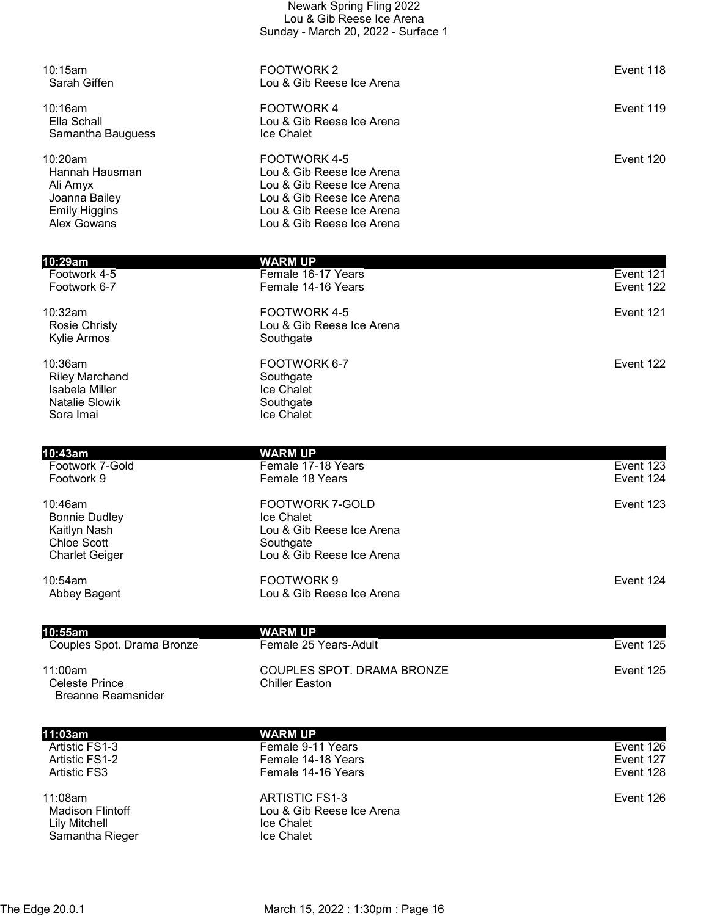| 10:29am                               | WARM UP<br>E. 4 0 4 7 M                                | $\Gamma$ $\Gamma$ 404 |
|---------------------------------------|--------------------------------------------------------|-----------------------|
|                                       |                                                        |                       |
| Alex Gowans                           | Lou & Gib Reese Ice Arena                              |                       |
| Joanna Bailey<br><b>Emily Higgins</b> | Lou & Gib Reese Ice Arena                              |                       |
| Ali Amyx                              | Lou & Gib Reese Ice Arena<br>Lou & Gib Reese Ice Arena |                       |
| Hannah Hausman                        | Lou & Gib Reese Ice Arena                              |                       |
| $10:20$ am                            | FOOTWORK 4-5                                           | Event 120             |
| Samantha Bauguess                     | Ice Chalet                                             |                       |
| Ella Schall                           | Lou & Gib Reese Ice Arena                              |                       |
| 10:16am                               | <b>FOOTWORK4</b>                                       | Event 119             |
|                                       |                                                        |                       |
| Sarah Giffen                          | Lou & Gib Reese Ice Arena                              |                       |
| 10:15am                               | FOOTWORK 2                                             | Event 118             |
|                                       |                                                        |                       |
|                                       | Sunday - March 20, 2022 - Surface 1                    |                       |
|                                       | Lou & Gib Reese Ice Arena                              |                       |

Newark Spring Fling 2022

| Footwork 4-5                                                                                | Female 16-17 Years                                                 | Event 121 |
|---------------------------------------------------------------------------------------------|--------------------------------------------------------------------|-----------|
| Footwork 6-7                                                                                | Female 14-16 Years                                                 | Event 122 |
| 10:32am<br><b>Rosie Christy</b><br>Kylie Armos                                              | FOOTWORK 4-5<br>Lou & Gib Reese Ice Arena<br>Southgate             | Event 121 |
| $10:36$ am<br><b>Riley Marchand</b><br>Isabela Miller<br><b>Natalie Slowik</b><br>Sora Imai | FOOTWORK 6-7<br>Southgate<br>Ice Chalet<br>Southgate<br>Ice Chalet | Event 122 |

| 10:43am                                                                                           | <b>WARM UP</b>                                                                                              |                                                      |
|---------------------------------------------------------------------------------------------------|-------------------------------------------------------------------------------------------------------------|------------------------------------------------------|
| Footwork 7-Gold                                                                                   | Female 17-18 Years                                                                                          | Event 123                                            |
| Footwork 9                                                                                        | Female 18 Years                                                                                             | Event 124                                            |
| $10:46$ am<br><b>Bonnie Dudley</b><br>Kaitlyn Nash<br><b>Chloe Scott</b><br><b>Charlet Geiger</b> | <b>FOOTWORK 7-GOLD</b><br>Ice Chalet<br>Lou & Gib Reese Ice Arena<br>Southgate<br>Lou & Gib Reese Ice Arena | Event 123                                            |
| 10:54am<br>Abbey Bagent                                                                           | FOOTWORK9<br>Lou & Gib Reese Ice Arena                                                                      | Event 124                                            |
| 10:55am<br>$\sim$ $\sim$                                                                          | WARM UP                                                                                                     | $\overline{\phantom{0}}$<br>$\overline{\phantom{a}}$ |

| ιιν. συαι ιι                                           | WAND YE                                       |           |
|--------------------------------------------------------|-----------------------------------------------|-----------|
| Couples Spot. Drama Bronze                             | Female 25 Years-Adult                         | Event 125 |
| 11:00am<br>Celeste Prince<br><b>Breanne Reamsnider</b> | COUPLES SPOT, DRAMA BRONZE<br>Chiller Easton. | Event 125 |

| 11:03am                            | <b>WARM UP</b>                              |           |
|------------------------------------|---------------------------------------------|-----------|
| Artistic FS1-3                     | Female 9-11 Years                           | Event 126 |
| Artistic FS1-2                     | Female 14-18 Years                          | Event 127 |
| <b>Artistic FS3</b>                | Female 14-16 Years                          | Event 128 |
| 11:08am<br><b>Madison Flintoff</b> | ARTISTIC FS1-3<br>Lou & Gib Reese Ice Arena | Event 126 |
| <b>Lily Mitchell</b>               | <b>Ice Chalet</b>                           |           |
| Samantha Rieger                    | <b>Ice Chalet</b>                           |           |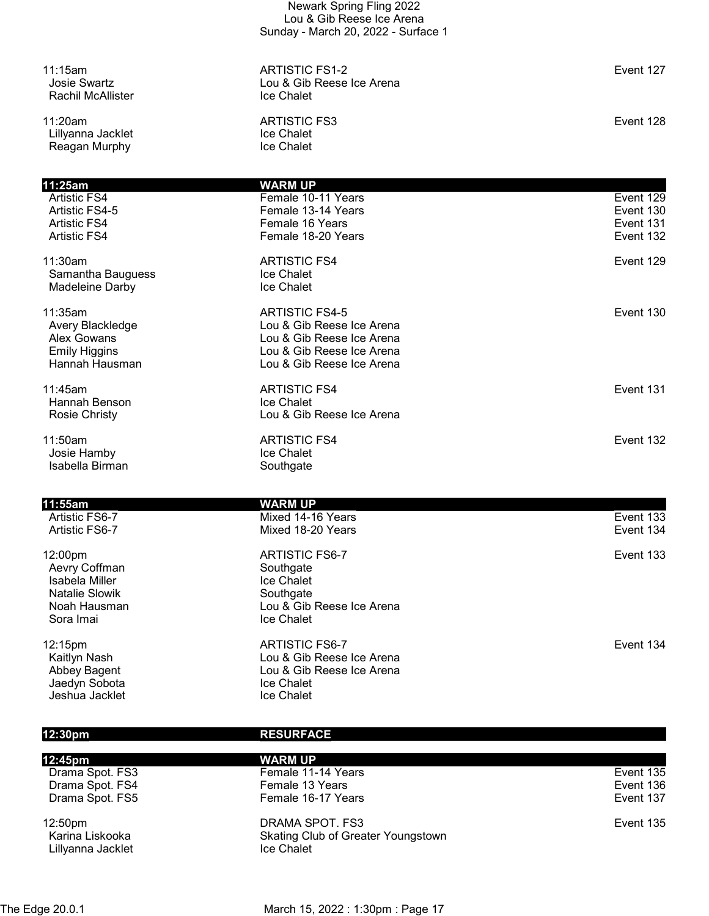| 11:15am<br><b>Josie Swartz</b><br><b>Rachil McAllister</b> | <b>ARTISTIC FS1-2</b><br>Lou & Gib Reese Ice Arena<br>Ice Chalet | Event 127              |
|------------------------------------------------------------|------------------------------------------------------------------|------------------------|
| 11:20am<br>Lillyanna Jacklet<br>Reagan Murphy              | <b>ARTISTIC FS3</b><br>Ice Chalet<br>Ice Chalet                  | Event 128              |
| 11:25am                                                    | <b>WARM UP</b>                                                   |                        |
| Artistic FS4                                               | Female 10-11 Years                                               | Event 129              |
| Artistic FS4-5<br><b>Artistic FS4</b>                      | Female 13-14 Years<br>Female 16 Years                            | Event 130<br>Event 131 |
| <b>Artistic FS4</b>                                        | Female 18-20 Years                                               | Event 132              |
|                                                            |                                                                  |                        |
| 11:30am<br>Samantha Bauguess                               | <b>ARTISTIC FS4</b><br>Ice Chalet                                | Event 129              |
| Madeleine Darby                                            | Ice Chalet                                                       |                        |
| 11:35am                                                    | <b>ARTISTIC FS4-5</b>                                            | Event 130              |
| Avery Blackledge                                           | Lou & Gib Reese Ice Arena                                        |                        |
| <b>Alex Gowans</b>                                         | Lou & Gib Reese Ice Arena                                        |                        |
| <b>Emily Higgins</b><br>Hannah Hausman                     | Lou & Gib Reese Ice Arena<br>Lou & Gib Reese Ice Arena           |                        |
|                                                            |                                                                  |                        |
| 11:45am<br>Hannah Benson                                   | <b>ARTISTIC FS4</b><br>Ice Chalet                                | Event 131              |
| <b>Rosie Christy</b>                                       | Lou & Gib Reese Ice Arena                                        |                        |
|                                                            |                                                                  |                        |
| 11:50am<br>Josie Hamby                                     | <b>ARTISTIC FS4</b><br>Ice Chalet                                | Event 132              |
| Isabella Birman                                            | Southgate                                                        |                        |
|                                                            |                                                                  |                        |
| 11:55am                                                    | <b>WARM UP</b>                                                   |                        |
| Artistic FS6-7<br>Artistic FS6-7                           | Mixed 14-16 Years<br>Mixed 18-20 Years                           | Event 133<br>Event 134 |
|                                                            |                                                                  |                        |
| 12:00pm                                                    | <b>ARTISTIC FS6-7</b>                                            | Event 133              |
| Aevry Coffman<br>Isabela Miller                            | Southgate<br>Ice Chalet                                          |                        |
| <b>Natalie Slowik</b>                                      | Southgate                                                        |                        |
| Noah Hausman                                               | Lou & Gib Reese Ice Arena                                        |                        |
| Sora Imai                                                  | Ice Chalet                                                       |                        |
| 12:15pm                                                    | <b>ARTISTIC FS6-7</b>                                            | Event 134              |
| Kaitlyn Nash                                               | Lou & Gib Reese Ice Arena                                        |                        |
| Abbey Bagent<br>Jaedyn Sobota                              | Lou & Gib Reese Ice Arena<br>Ice Chalet                          |                        |
| Jeshua Jacklet                                             | Ice Chalet                                                       |                        |
|                                                            |                                                                  |                        |

| 12:30pm             | <b>RESURFACE</b>                   |           |
|---------------------|------------------------------------|-----------|
| 12:45pm             | <b>WARM UP</b>                     |           |
| Drama Spot. FS3     | Female 11-14 Years                 | Event 135 |
| Drama Spot. FS4     | Female 13 Years                    | Event 136 |
| Drama Spot. FS5     | Female 16-17 Years                 | Event 137 |
| 12:50 <sub>pm</sub> | DRAMA SPOT. FS3                    | Event 135 |
| Karina Liskooka     | Skating Club of Greater Youngstown |           |
| Lillyanna Jacklet   | <b>Ice Chalet</b>                  |           |
|                     |                                    |           |

The Edge 20.0.1 March 15, 2022 : 1:30pm : Page 17